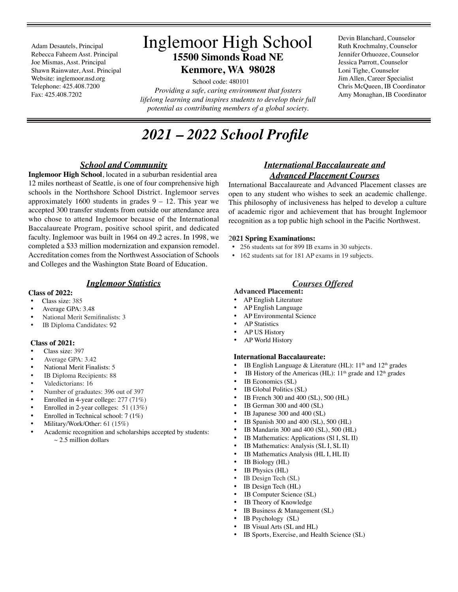Adam Desautels, Principal Rebecca Faheem Asst. Principal Joe Mismas, Asst. Principal Shawn Rainwater, Asst. Principal Website: inglemoor.nsd.org Telephone: 425.408.7200 Fax: 425.408.7202

# Inglemoor High School **15500 Simonds Road NE Kenmore, WA 98028**

 School code: 480101 *Providing a safe, caring environment that fosters lifelong learning and inspires students to develop their full potential as contributing members of a global society.*

*2021 – 2022 School Profle*

## *School and Community*

**Inglemoor High School**, located in a suburban residential area 12 miles northeast of Seattle, is one of four comprehensive high schools in the Northshore School District. Inglemoor serves approximately 1600 students in grades  $9 - 12$ . This year we accepted 300 transfer students from outside our attendance area who chose to attend Inglemoor because of the International Baccalaureate Program, positive school spirit, and dedicated faculty. Inglemoor was built in 1964 on 49.2 acres. In 1998, we completed a \$33 million modernization and expansion remodel. Accreditation comes from the Northwest Association of Schools and Colleges and the Washington State Board of Education.

## *Inglemoor Statistics*

#### **Class of 2022:**

- Class size: 385
- Average GPA: 3.48
- National Merit Semifnalists: 3
- IB Diploma Candidates: 92

#### **Class of 2021:**

- •Class size: 397
- Average GPA: 3.42
- National Merit Finalists: 5
- IB Diploma Recipients: 88
- Valedictorians: 16
- Number of graduates: 396 out of 397
- Enrolled in 4-year college: 277 (71%)
- Enrolled in 2-year colleges: 51 (13%)
- Enrolled in Technical school: 7 (1%)
- Military/Work/Other: 61 (15%)
- Academic recognition and scholarships accepted by students:  $\sim$  2.5 million dollars

## *International Baccalaureate and Advanced Placement Courses*

International Baccalaureate and Advanced Placement classes are open to any student who wishes to seek an academic challenge. This philosophy of inclusiveness has helped to develop a culture of academic rigor and achievement that has brought Inglemoor recognition as a top public high school in the Pacifc Northwest.

#### 2**021 Spring Examinations:**

- 256 students sat for 899 IB exams in 30 subjects.
- 162 students sat for 181 AP exams in 19 subjects.

## *Courses Offered*

- **Advanced Placement:**
- AP English Literature
- AP English Language • AP Environmental Science
- **AP Statistics**
- AP US History
- AP World History
- 

#### **International Baccalaureate:**

- IB English Language & Literature (HL): 11<sup>th</sup> and 12<sup>th</sup> grades
- IB History of the Americas (HL):  $11<sup>th</sup>$  grade and  $12<sup>th</sup>$  grades
- IB Economics (SL)
- IB Global Politics (SL)
- IB French 300 and 400 (SL), 500 (HL)
- IB German 300 and 400 (SL)
- IB Japanese 300 and 400 (SL)
- IB Spanish 300 and 400 (SL), 500 (HL)
- IB Mandarin 300 and 400 (SL), 500 (HL)
- IB Mathematics: Applications (Sl I, SL II)
- IB Mathematics: Analysis (SL I, SL II)
- IB Mathematics Analysis (HL I, HL II)
- IB Biology (HL)
- IB Physics (HL)
- IB Design Tech (SL)
- IB Design Tech (HL)
- IB Computer Science (SL)
- IB Theory of Knowledge
- IB Business & Management (SL)
- IB Psychology (SL)
- IB Visual Arts (SL and HL)
- IB Sports, Exercise, and Health Science (SL)

Devin Blanchard, Counselor Ruth Krochmalny, Counselor Jennifer Orhuozee, Counselor Jessica Parrott, Counselor Loni Tighe, Counselor Jim Allen, Career Specialist Chris McQueen, IB Coordinator Amy Monaghan, IB Coordinator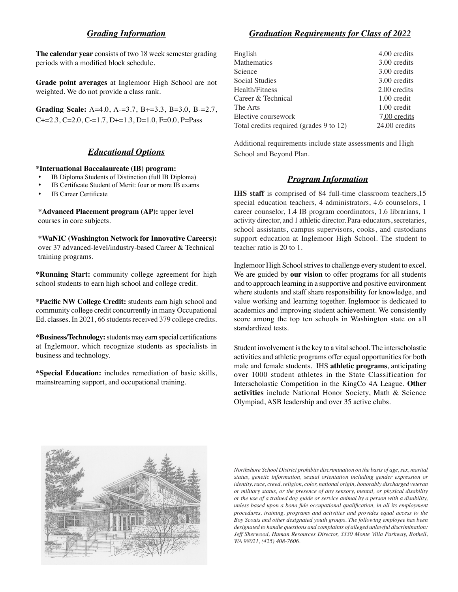## *Grading Information*

**The calendar year** consists of two 18 week semester grading periods with a modifed block schedule.

**Grade point averages** at Inglemoor High School are not weighted. We do not provide a class rank.

**Grading Scale:** A=4.0, A-=3.7, B+=3.3, B=3.0, B-=2.7,  $C+=2.3, C=2.0, C=-1.7, D+=1.3, D=1.0, F=0.0, P=Pass$ 

## *Educational Options*

#### **\*International Baccalaureate (IB) program:**

- IB Diploma Students of Distinction (full IB Diploma)
- IB Certificate Student of Merit: four or more IB exams
- **IB Career Certificate**

**\*Advanced Placement program (AP):** upper level courses in core subjects.

**\*WaNIC (Washington Network for Innovative Careers):** over 37 advanced-level/industry-based Career & Technical training programs.

**\*Running Start:** community college agreement for high school students to earn high school and college credit.

**\*Pacifc NW College Credit:** students earn high school and community college credit concurrently in many Occupational Ed. classes. In 2021, 66 students received 379 college credits.

**\*Business/Technology:** students may earn special certifcations at Inglemoor, which recognize students as specialists in business and technology.

**\*Special Education:** includes remediation of basic skills, mainstreaming support, and occupational training.

## *Graduation Requirements for Class of 2022*

| 4.00 credits  |
|---------------|
| 3.00 credits  |
| 3.00 credits  |
| 3.00 credits  |
| 2.00 credits  |
| 1.00 credit   |
| 1.00 credit   |
| 7.00 credits  |
| 24.00 credits |
|               |

Additional requirements include state assessments and High School and Beyond Plan.

#### *Program Information*

**IHS staff** is comprised of 84 full-time classroom teachers,15 special education teachers, 4 administrators, 4.6 counselors, 1 career counselor, 1.4 IB program coordinators, 1.6 librarians, 1 activity director, and 1 athletic director. Para-educators, secretaries, school assistants, campus supervisors, cooks, and custodians support education at Inglemoor High School. The student to teacher ratio is 20 to 1.

Inglemoor High School strives to challenge every student to excel. We are guided by **our vision** to offer programs for all students and to approach learning in a supportive and positive environment where students and staff share responsibility for knowledge, and value working and learning together. Inglemoor is dedicated to academics and improving student achievement. We consistently score among the top ten schools in Washington state on all standardized tests.

Student involvement is the key to a vital school. The interscholastic activities and athletic programs offer equal opportunities for both male and female students. IHS **athletic programs**, anticipating over 1000 student athletes in the State Classification for Interscholastic Competition in the KingCo 4A League. **Other activities** include National Honor Society, Math & Science Olympiad, ASB leadership and over 35 active clubs.



*Northshore School District prohibits discrimination on the basis of age, sex, marital status, genetic information, sexual orientation including gender expression or identity, race, creed, religion, color, national origin, honorably discharged veteran or military status, or the presence of any sensory, mental, or physical disability or the use of a trained dog guide or service animal by a person with a disability, unless based upon a bona fde occupational qualifcation, in all its employment procedures, training, programs and activities and provides equal access to the Boy Scouts and other designated youth groups. The following employee has been designated to handle questions and complaints of alleged unlawful discrimination: Jeff Sherwood, Human Resources Director, 3330 Monte Villa Parkway, Bothell, WA 98021, (425) 408-7606.*